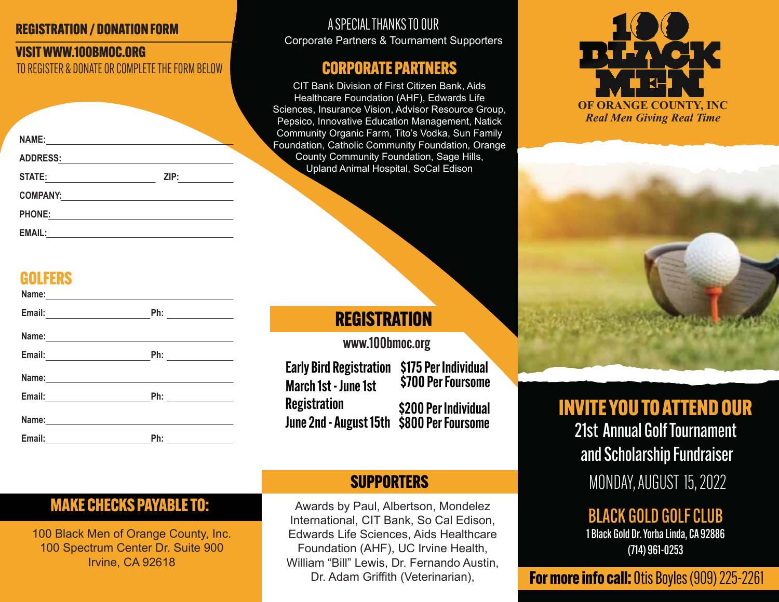#### REGISTRATION / DONATION FORM

#### VISIT WWW.100BMOC.ORG TO REGISTER & DONATE OR COMPLETE THE FORM BELOW

| <b>NAME:</b>    |      |  |
|-----------------|------|--|
| <b>ADDRESS:</b> |      |  |
| <b>STATE:</b>   | ZIP: |  |
| <b>COMPANY:</b> |      |  |
| <b>PHONE:</b>   |      |  |
| <b>EMAIL:</b>   |      |  |

### **GOLFERS**

| Name: Name and Separate and Separate and Separate and Separate and Separate and Separate and Separate and Separate and Separate and Separate and Separate and Separate and Separate and Separate and Separate and Separate and       |  |
|--------------------------------------------------------------------------------------------------------------------------------------------------------------------------------------------------------------------------------------|--|
|                                                                                                                                                                                                                                      |  |
|                                                                                                                                                                                                                                      |  |
|                                                                                                                                                                                                                                      |  |
|                                                                                                                                                                                                                                      |  |
| Email: 2008 2010 2010 2011 2022 2023 2024 2022 2023 2024 2022 2023 2024 2022 2023 2024 2022 2023 2024 2025 20                                                                                                                        |  |
|                                                                                                                                                                                                                                      |  |
| Email: <u>contract and a series of the series of the series of the series of the series of the series of the series of the series of the series of the series of the series of the series of the series of the series of the ser</u> |  |

#### A SPECIAL THANKS TO OUR Corporate Partners & Tournament Supporters

### CORPORATE PARTNERS

CIT Bank Division of First Citizen Bank, Aids Healthcare Foundation (AHF), Edwards Life Sciences, Insurance Vision, Advisor Resource Group, Pepsico, Innovative Education Management, Natick Community Organic Farm, Tito's Vodka, Sun Family Foundation, Catholic Community Foundation, Orange County Community Foundation, Sage Hills, Upland Animal Hospital, SoCal Edison

## **REGISTRATION**

www.100bmoc.org

Early Bird Registration \$175 Per Individual \$700 Per Foursome March 1st - June 1st **Registration** June 2nd - August 15th \$800 Per Foursome\$200 Per Individual

### **SUPPORTERS**

Awards by Paul, Albertson, Mondelez International, CIT Bank, So Cal Edison, Edwards Life Sciences, Aids Healthcare Foundation (AHF), UC Irvine Health, William "Bill" Lewis, Dr. Fernando Austin, Dr. Adam Griffith (Veterinarian),





INVITE YOU TO ATTEND OUR 21st Annual Golf Tournament and Scholarship Fundraiser MONDAY, AUGUST 15, 2022

> BLACK GOLD GOLF CLUB 1 Black Gold Dr. Yorba Linda, CA 92886 (714) 961-0253

**For more info call:** Otis Boyles (909) 225-2261

## MAKE CHECKS PAYABLE TO:

100 Black Men of Orange County, Inc. 100 Spectrum Center Dr. Suite 900 Irvine, CA 92618